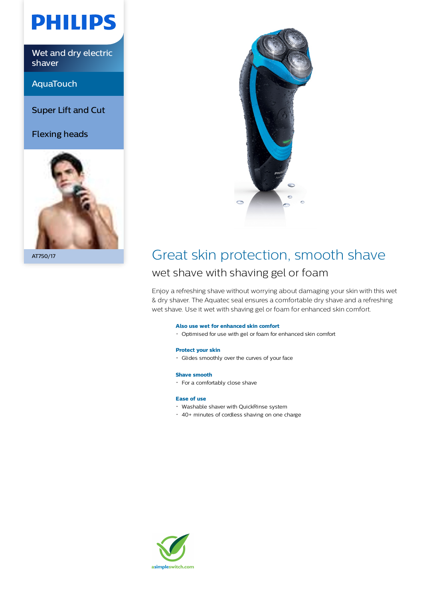

Wet and dry electric shaver

AquaTouch

Super Lift and Cut

Flexing heads





## AT750/17 Great skin protection, smooth shave wet shave with shaving gel or foam

Enjoy a refreshing shave without worrying about damaging your skin with this wet & dry shaver. The Aquatec seal ensures a comfortable dry shave and a refreshing wet shave. Use it wet with shaving gel or foam for enhanced skin comfort.

#### **Also use wet for enhanced skin comfort**

Optimised for use with gel or foam for enhanced skin comfort

#### **Protect your skin**

Glides smoothly over the curves of your face

#### **Shave smooth**

For a comfortably close shave

### **Ease of use**

- Washable shaver with QuickRinse system
- 40+ minutes of cordless shaving on one charge